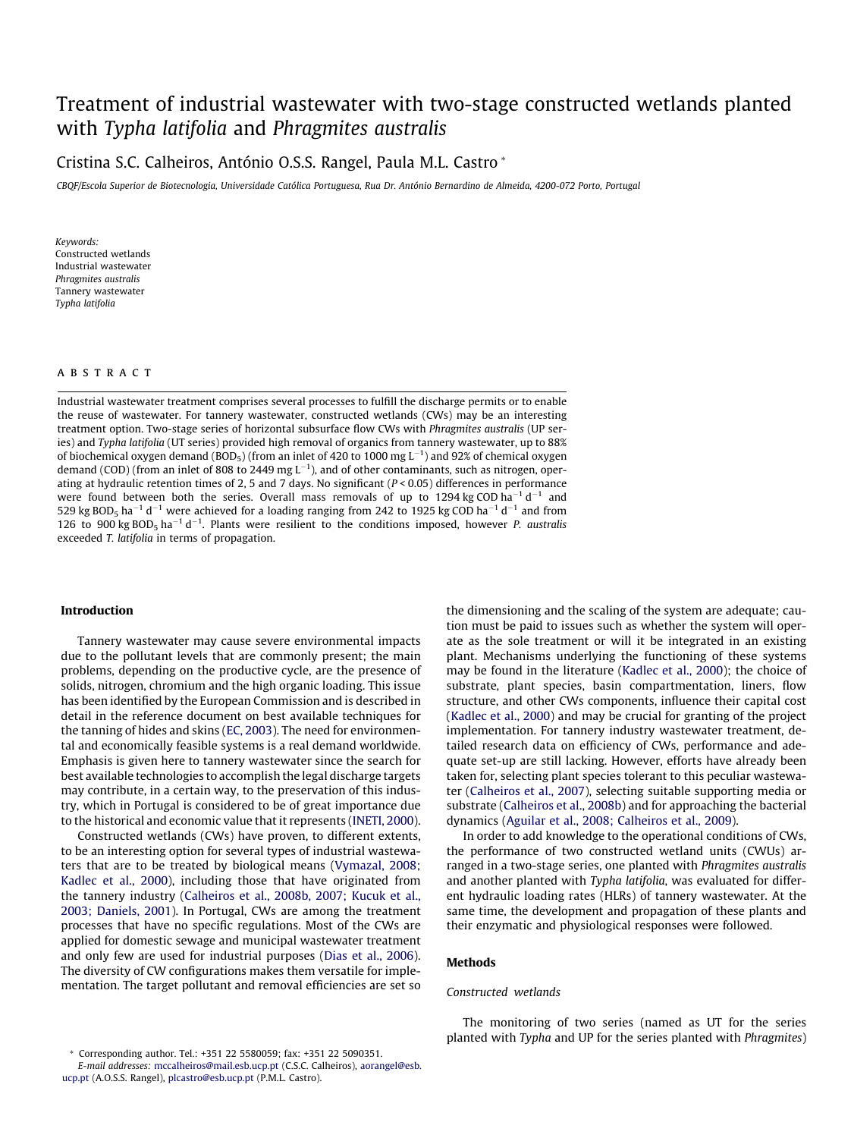# Treatment of industrial wastewater with two[-stage co](http://www.sciencedirect.com/science/journal/09608524)nstructed wetlands planted with Typha latifolia and Phragmites australis

# Cristina S.C. Calheiros, António O.S.S. Rangel, Paula M.L. Castro \*

CBQF/Escola Superior de Biotecnologia, Universidade Católica Portuguesa, Rua [Dr. António Bernardino de Almeida, 4200-072 Porto, Por](http://www.elsevier.com/locate/biortech)tugal

Keywords: Constructed wetlands Industrial wastewater Phragmites australis Tannery wastewater Typha latifolia

# **ABSTRACT**

Industrial wastewater treatment comprises several processes to fulfill the discharge permits or to enable the reuse of wastewater. For tannery wastewater, constructed wetlands (CWs) may be an interesting treatment option. Two-stage series of horizontal subsurface flow CWs with Phragmites australis (UP series) and Typha latifolia (UT series) provided high removal of organics from tannery wastewater, up to 88% of biochemical oxygen demand (BOD<sub>5</sub>) (from an inlet of 420 to 1000 mg L $^{-1}$ ) and 92% of chemical oxygen demand (COD) (from an inlet of 808 to 2449 mg  $L^{-1}$ ), and of other contaminants, such as nitrogen, operating at hydraulic retention times of 2, 5 and 7 days. No significant ( $P < 0.05$ ) differences in performance were found between both the series. Overall mass removals of up to 1294 kg COD ha<sup>-1</sup> d<sup>-1</sup> and 529 kg BOD<sub>5</sub> ha<sup>-1</sup> d<sup>-1</sup> were achieved for a loading ranging from 242 to 1925 kg COD ha<sup>-1</sup> d<sup>-1</sup> and from 126 to 900 kg BOD<sub>5</sub> ha<sup>-1</sup> d<sup>-1</sup>. Plants were resilient to the conditions imposed, however *P. australis* exceeded T. latifolia in terms of propagation.

# Introduction

Tannery wastewater may cause severe environmental impacts due to the pollutant levels that are commonly present; the main problems, depending on the productive cycle, are the presence of solids, nitrogen, chromium and the high organic loading. This issue has been identified by the European Commission and is described in detail in the reference document on best available techniques for the tanning of hides and skins [\(EC, 2003\)](#page-8-0). The need for environmental and economically feasible systems is a real demand worldwide. Emphasis is given here to tannery wastewater since the search for best available technologies to accomplish the legal discharge targets may contribute, in a certain way, to the preservation of this industry, which in Portugal is considered to be of great importance due to the historical and economic value that it represents [\(INETI, 2000\)](#page-8-0).

Constructed wetlands (CWs) have proven, to different extents, to be an interesting option for several types of industrial wastewaters that are to be treated by biological means ([Vymazal, 2008;](#page-8-0) [Kadlec et al., 2000](#page-8-0)), including those that have originated from the tannery industry ([Calheiros et al., 2008b, 2007; Kucuk et al.,](#page-8-0) [2003; Daniels, 2001\)](#page-8-0). In Portugal, CWs are among the treatment processes that have no specific regulations. Most of the CWs are applied for domestic sewage and municipal wastewater treatment and only few are used for industrial purposes [\(Dias et al., 2006\)](#page-8-0). The diversity of CW configurations makes them versatile for implementation. The target pollutant and removal efficiencies are set so the dimensioning and the scaling of the system are adequate; caution must be paid to issues such as whether the system will operate as the sole treatment or will it be integrated in an existing plant. Mechanisms underlying the functioning of these systems may be found in the literature [\(Kadlec et al., 2000](#page-8-0)); the choice of substrate, plant species, basin compartmentation, liners, flow structure, and other CWs components, influence their capital cost ([Kadlec et al., 2000\)](#page-8-0) and may be crucial for granting of the project implementation. For tannery industry wastewater treatment, detailed research data on efficiency of CWs, performance and adequate set-up are still lacking. However, efforts have already been taken for, selecting plant species tolerant to this peculiar wastewater [\(Calheiros et al., 2007](#page-8-0)), selecting suitable supporting media or substrate [\(Calheiros et al., 2008b\)](#page-8-0) and for approaching the bacterial dynamics [\(Aguilar et al., 2008; Calheiros et al., 2009](#page-7-0)).

In order to add knowledge to the operational conditions of CWs, the performance of two constructed wetland units (CWUs) arranged in a two-stage series, one planted with Phragmites australis and another planted with Typha latifolia, was evaluated for different hydraulic loading rates (HLRs) of tannery wastewater. At the same time, the development and propagation of these plants and their enzymatic and physiological responses were followed.

# Methods

### Constructed wetlands

The monitoring of two series (named as UT for the series planted with Typha and UP for the series planted with Phragmites)

Corresponding author. Tel.: +351 22 5580059; fax: +351 22 5090351.

E-mail addresses: mccalheiros@mail.esb.ucp.pt (C.S.C. Calheiros), aorangel@esb. ucp.pt (A.O.S.S. Rangel), plcastro@esb.ucp.pt (P.M.L. Castro).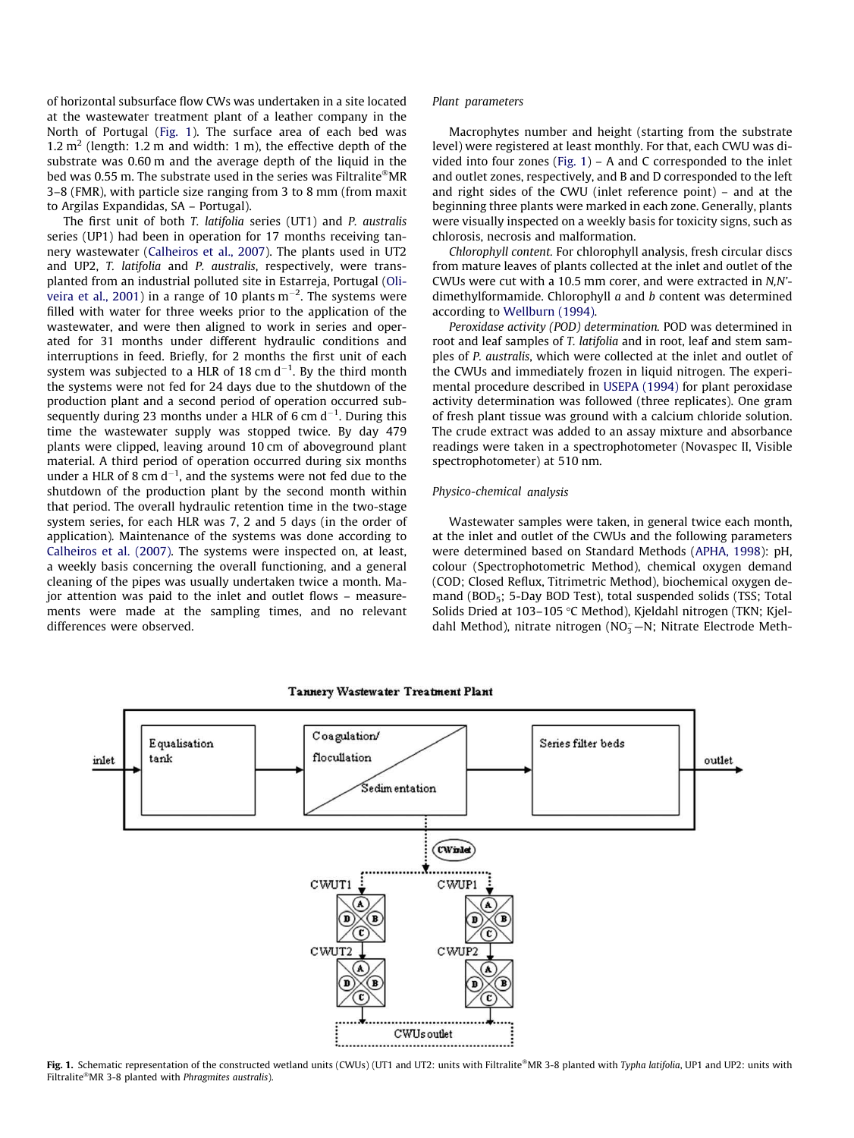of horizontal subsurface flow CWs was undertaken in a site located at the wastewater treatment plant of a leather company in the North of Portugal (Fig. 1). The surface area of each bed was 1.2  $m<sup>2</sup>$  (length: 1.2 m and width: 1 m), the effective depth of the substrate was 0.60 m and the average depth of the liquid in the bed was 0.55 m. The substrate used in the series was Filtralite®MR 3–8 (FMR), with particle size ranging from 3 to 8 mm (from maxit to Argilas Expandidas, SA – Portugal).

The first unit of both T. latifolia series (UT1) and P. australis series (UP1) had been in operation for 17 months receiving tannery wastewater [\(Calheiros et al., 2007\)](#page-8-0). The plants used in UT2 and UP2, T. latifolia and P. australis, respectively, were transplanted from an industrial polluted site in Estarreja, Portugal ([Oli](#page-8-0)[veira et al., 2001\)](#page-8-0) in a range of 10 plants m<sup>-2</sup>. The systems were filled with water for three weeks prior to the application of the wastewater, and were then aligned to work in series and operated for 31 months under different hydraulic conditions and interruptions in feed. Briefly, for 2 months the first unit of each system was subjected to a HLR of 18 cm d $^{-1}$ . By the third month the systems were not fed for 24 days due to the shutdown of the production plant and a second period of operation occurred subsequently during 23 months under a HLR of 6 cm d<sup>-1</sup>. During this time the wastewater supply was stopped twice. By day 479 plants were clipped, leaving around 10 cm of aboveground plant material. A third period of operation occurred during six months under a HLR of 8 cm d $^{-1}$ , and the systems were not fed due to the shutdown of the production plant by the second month within that period. The overall hydraulic retention time in the two-stage system series, for each HLR was 7, 2 and 5 days (in the order of application). Maintenance of the systems was done according to [Calheiros et al. \(2007\)](#page-8-0). The systems were inspected on, at least, a weekly basis concerning the overall functioning, and a general cleaning of the pipes was usually undertaken twice a month. Major attention was paid to the inlet and outlet flows – measurements were made at the sampling times, and no relevant differences were observed.

### Plant parameters

Macrophytes number and height (starting from the substrate level) were registered at least monthly. For that, each CWU was divided into four zones (Fig.  $1$ ) – A and C corresponded to the inlet and outlet zones, respectively, and B and D corresponded to the left and right sides of the CWU (inlet reference point) – and at the beginning three plants were marked in each zone. Generally, plants were visually inspected on a weekly basis for toxicity signs, such as chlorosis, necrosis and malformation.

Chlorophyll content. For chlorophyll analysis, fresh circular discs from mature leaves of plants collected at the inlet and outlet of the CWUs were cut with a 10.5 mm corer, and were extracted in N,N' dimethylformamide. Chlorophyll a and b content was determined according to [Wellburn \(1994\).](#page-8-0)

Peroxidase activity (POD) determination. POD was determined in root and leaf samples of T. latifolia and in root, leaf and stem samples of P. australis, which were collected at the inlet and outlet of the CWUs and immediately frozen in liquid nitrogen. The experimental procedure described in [USEPA \(1994\)](#page-8-0) for plant peroxidase activity determination was followed (three replicates). One gram of fresh plant tissue was ground with a calcium chloride solution. The crude extract was added to an assay mixture and absorbance readings were taken in a spectrophotometer (Novaspec II, Visible spectrophotometer) at 510 nm.

# Physico-chemical analysis

Wastewater samples were taken, in general twice each month, at the inlet and outlet of the CWUs and the following parameters were determined based on Standard Methods [\(APHA, 1998\)](#page-8-0): pH, colour (Spectrophotometric Method), chemical oxygen demand (COD; Closed Reflux, Titrimetric Method), biochemical oxygen demand (BOD<sub>5</sub>; 5-Day BOD Test), total suspended solids (TSS; Total Solids Dried at 103-105 °C Method), Kjeldahl nitrogen (TKN; Kjeldahl Method), nitrate nitrogen (NO<sub>3</sub>-N; Nitrate Electrode Meth-



Fig. 1. Schematic representation of the constructed wetland units (CWUs) (UT1 and UT2: units with Filtralite®MR 3-8 planted with Typha latifolia, UP1 and UP2: units with Filtralite®MR 3-8 planted with Phragmites australis).

#### Tannery Wastewater Treatment Plant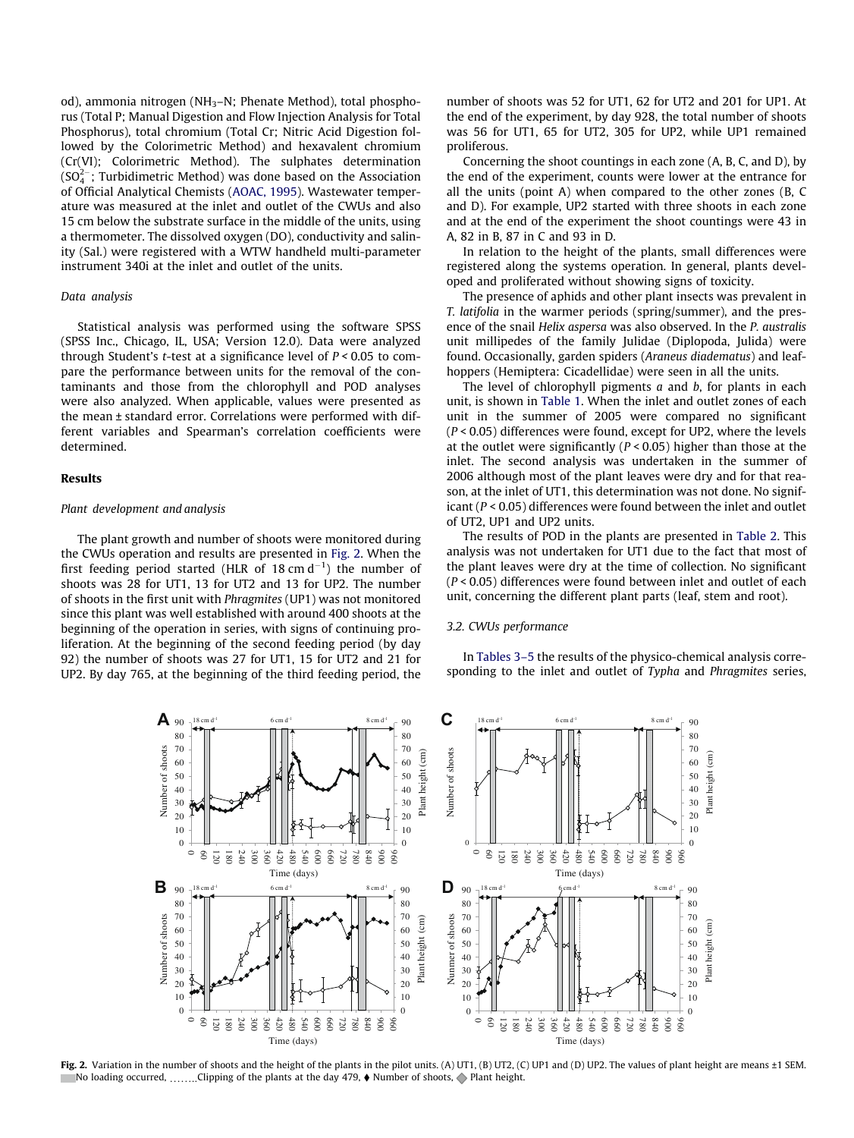od), ammonia nitrogen (NH3–N; Phenate Method), total phosphorus (Total P; Manual Digestion and Flow Injection Analysis for Total Phosphorus), total chromium (Total Cr; Nitric Acid Digestion followed by the Colorimetric Method) and hexavalent chromium (Cr(VI); Colorimetric Method). The sulphates determination (SO $_4^{2-}$ ; Turbidimetric Method) was done based on the Association of Official Analytical Chemists [\(AOAC, 1995](#page-7-0)). Wastewater temperature was measured at the inlet and outlet of the CWUs and also 15 cm below the substrate surface in the middle of the units, using a thermometer. The dissolved oxygen (DO), conductivity and salinity (Sal.) were registered with a WTW handheld multi-parameter instrument 340i at the inlet and outlet of the units.

# Data analysis

Statistical analysis was performed using the software SPSS (SPSS Inc., Chicago, IL, USA; Version 12.0). Data were analyzed through Student's *t*-test at a significance level of  $P < 0.05$  to compare the performance between units for the removal of the contaminants and those from the chlorophyll and POD analyses were also analyzed. When applicable, values were presented as the mean ± standard error. Correlations were performed with different variables and Spearman's correlation coefficients were determined.

# Results

# Plant development and analysis

The plant growth and number of shoots were monitored during the CWUs operation and results are presented in Fig. 2. When the first feeding period started (HLR of 18 cm  $d^{-1}$ ) the number of shoots was 28 for UT1, 13 for UT2 and 13 for UP2. The number of shoots in the first unit with Phragmites (UP1) was not monitored since this plant was well established with around 400 shoots at the beginning of the operation in series, with signs of continuing proliferation. At the beginning of the second feeding period (by day 92) the number of shoots was 27 for UT1, 15 for UT2 and 21 for UP2. By day 765, at the beginning of the third feeding period, the number of shoots was 52 for UT1, 62 for UT2 and 201 for UP1. At the end of the experiment, by day 928, the total number of shoots was 56 for UT1, 65 for UT2, 305 for UP2, while UP1 remained proliferous.

Concerning the shoot countings in each zone (A, B, C, and D), by the end of the experiment, counts were lower at the entrance for all the units (point A) when compared to the other zones (B, C and D). For example, UP2 started with three shoots in each zone and at the end of the experiment the shoot countings were 43 in A, 82 in B, 87 in C and 93 in D.

In relation to the height of the plants, small differences were registered along the systems operation. In general, plants developed and proliferated without showing signs of toxicity.

The presence of aphids and other plant insects was prevalent in T. latifolia in the warmer periods (spring/summer), and the presence of the snail Helix aspersa was also observed. In the P. australis unit millipedes of the family Julidae (Diplopoda, Julida) were found. Occasionally, garden spiders (Araneus diadematus) and leafhoppers (Hemiptera: Cicadellidae) were seen in all the units.

The level of chlorophyll pigments  $a$  and  $b$ , for plants in each unit, is shown in [Table 1](#page-3-0). When the inlet and outlet zones of each unit in the summer of 2005 were compared no significant  $(P < 0.05)$  differences were found, except for UP2, where the levels at the outlet were significantly ( $P < 0.05$ ) higher than those at the inlet. The second analysis was undertaken in the summer of 2006 although most of the plant leaves were dry and for that reason, at the inlet of UT1, this determination was not done. No significant ( $P < 0.05$ ) differences were found between the inlet and outlet of UT2, UP1 and UP2 units.

The results of POD in the plants are presented in [Table 2](#page-3-0). This analysis was not undertaken for UT1 due to the fact that most of the plant leaves were dry at the time of collection. No significant (P < 0.05) differences were found between inlet and outlet of each unit, concerning the different plant parts (leaf, stem and root).

# 3.2. CWUs performance

In [Tables 3–5](#page-4-0) the results of the physico-chemical analysis corresponding to the inlet and outlet of Typha and Phragmites series,



Fig. 2. Variation in the number of shoots and the height of the plants in the pilot units. (A) UT1, (B) UT2, (C) UP1 and (D) UP2. The values of plant height are means ±1 SEM. No loading occurred,  $\ldots\ldots$ Clipping of the plants at the day 479,  $\blacklozenge$  Number of shoots,  $\blacklozenge$  Plant height.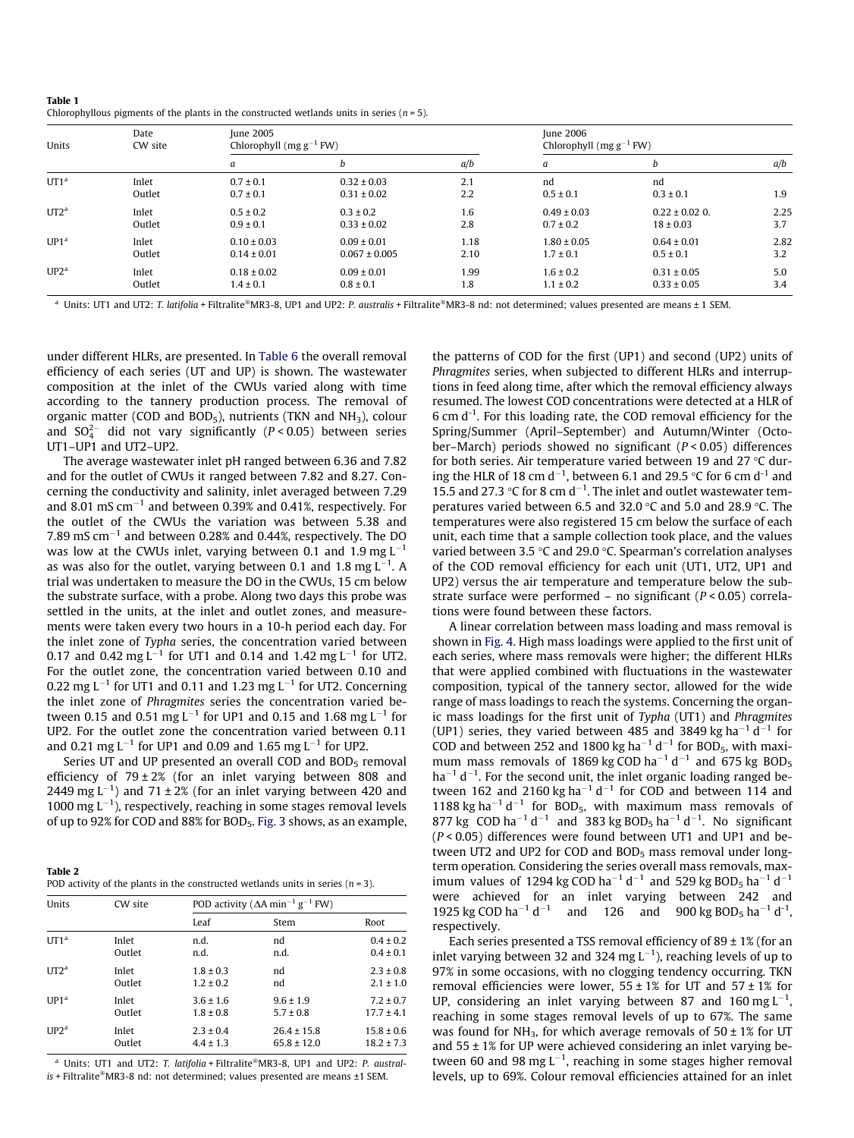<span id="page-3-0"></span>

| Table 1                                                                                       |  |  |  |
|-----------------------------------------------------------------------------------------------|--|--|--|
| Chlorophyllous pigments of the plants in the constructed wetlands units in series $(n = 5)$ . |  |  |  |

| Date<br>Units<br>CW site |                 | June 2005<br>Chlorophyll ( $mg g^{-1}$ FW) |                                    |            | June 2006<br>Chlorophyll ( $mg g^{-1}$ FW) |                     |      |  |
|--------------------------|-----------------|--------------------------------------------|------------------------------------|------------|--------------------------------------------|---------------------|------|--|
|                          |                 | a                                          | b                                  | a/b        | a                                          | h                   | a/b  |  |
| UT1 <sup>a</sup>         | Inlet<br>Outlet | $0.7 \pm 0.1$<br>$0.7 \pm 0.1$             | $0.32 \pm 0.03$<br>$0.31 \pm 0.02$ | 2.1<br>2.2 | nd<br>$0.5 \pm 0.1$                        | nd<br>$0.3 \pm 0.1$ | 1.9  |  |
| UT2 <sup>a</sup>         | Inlet           | $0.5 \pm 0.2$                              | $0.3 \pm 0.2$                      | 1.6        | $0.49 \pm 0.03$                            | $0.22 \pm 0.02$ 0.  | 2.25 |  |
|                          | Outlet          | $0.9 \pm 0.1$                              | $0.33 \pm 0.02$                    | 2.8        | $0.7 \pm 0.2$                              | $18 \pm 0.03$       | 3.7  |  |
| UP1 <sup>a</sup>         | Inlet           | $0.10 \pm 0.03$                            | $0.09 \pm 0.01$                    | 1.18       | $1.80 \pm 0.05$                            | $0.64 \pm 0.01$     | 2.82 |  |
|                          | Outlet          | $0.14 \pm 0.01$                            | $0.067 \pm 0.005$                  | 2.10       | $1.7 \pm 0.1$                              | $0.5 \pm 0.1$       | 3.2  |  |
| UP2 <sup>a</sup>         | Inlet           | $0.18 \pm 0.02$                            | $0.09 \pm 0.01$                    | 1.99       | $1.6 \pm 0.2$                              | $0.31 \pm 0.05$     | 5.0  |  |
|                          | Outlet          | $1.4 \pm 0.1$                              | $0.8 \pm 0.1$                      | 1.8        | $1.1 \pm 0.2$                              | $0.33 \pm 0.05$     | 3.4  |  |

<sup>a</sup> Units: UT1 and UT2: T. latifolia + Filtralite®MR3-8, UP1 and UP2: P. australis + Filtralite®MR3-8 nd: not determined; values presented are means ± 1 SEM.

under different HLRs, are presented. In [Table 6](#page-5-0) the overall removal efficiency of each series (UT and UP) is shown. The wastewater composition at the inlet of the CWUs varied along with time according to the tannery production process. The removal of organic matter (COD and BOD<sub>5</sub>), nutrients (TKN and  $NH<sub>3</sub>$ ), colour and  $SO_4^{2-}$  did not vary significantly (P < 0.05) between series UT1–UP1 and UT2–UP2.

The average wastewater inlet pH ranged between 6.36 and 7.82 and for the outlet of CWUs it ranged between 7.82 and 8.27. Concerning the conductivity and salinity, inlet averaged between 7.29 and 8.01 mS cm $^{-1}$  and between 0.39% and 0.41%, respectively. For the outlet of the CWUs the variation was between 5.38 and 7.89 mS cm $^{-1}$  and between 0.28% and 0.44%, respectively. The DO was low at the CWUs inlet, varying between 0.1 and 1.9 mg  $\mathsf{L}^{-1}$ as was also for the outlet, varying between 0.1 and 1.8 mg  $\text{L}^{-1}.$  A trial was undertaken to measure the DO in the CWUs, 15 cm below the substrate surface, with a probe. Along two days this probe was settled in the units, at the inlet and outlet zones, and measurements were taken every two hours in a 10-h period each day. For the inlet zone of Typha series, the concentration varied between 0.17 and 0.42 mg L<sup>-1</sup> for UT1 and 0.14 and 1.42 mg L<sup>-1</sup> for UT2. For the outlet zone, the concentration varied between 0.10 and 0.22 mg L $^{-1}$  for UT1 and 0.11 and 1.23 mg L $^{-1}$  for UT2. Concerning the inlet zone of Phragmites series the concentration varied between 0.15 and 0.51 mg L $^{-1}$  for UP1 and 0.15 and 1.68 mg L $^{-1}$  for UP2. For the outlet zone the concentration varied between 0.11 and 0.21 mg L $^{-1}$  for UP1 and 0.09 and 1.65 mg L $^{-1}$  for UP2.

Series UT and UP presented an overall COD and  $BOD<sub>5</sub>$  removal efficiency of  $79 \pm 2\%$  (for an inlet varying between 808 and 2449 mg  $L^{-1}$ ) and 71  $\pm 2\%$  (for an inlet varying between 420 and 1000 mg  $L^{-1}$ ), respectively, reaching in some stages removal levels of up to 92% for COD and 88% for BOD5. [Fig. 3](#page-5-0) shows, as an example,

| Table 2                                                                             |  |
|-------------------------------------------------------------------------------------|--|
| POD activity of the plants in the constructed wetlands units in series ( $n = 3$ ). |  |

| Units            | CW site |               | POD activity ( $\Delta A$ min <sup>-1</sup> g <sup>-1</sup> FW) |                |  |  |
|------------------|---------|---------------|-----------------------------------------------------------------|----------------|--|--|
|                  |         | Leaf          | Stem                                                            | Root           |  |  |
| UT1 <sup>a</sup> | Inlet   | n.d.          | nd                                                              | $0.4 \pm 0.2$  |  |  |
|                  | Outlet  | n.d.          | n.d.                                                            | $0.4 \pm 0.1$  |  |  |
| UT2 <sup>a</sup> | Inlet   | $1.8 \pm 0.3$ | nd                                                              | $2.3 \pm 0.8$  |  |  |
|                  | Outlet  | $1.2 \pm 0.2$ | nd                                                              | $2.1 \pm 1.0$  |  |  |
| UP1 <sup>a</sup> | Inlet   | $3.6 \pm 1.6$ | $9.6 \pm 1.9$                                                   | $7.2 \pm 0.7$  |  |  |
|                  | Outlet  | $1.8 \pm 0.8$ | $5.7 \pm 0.8$                                                   | $17.7 \pm 4.1$ |  |  |
| UP2 <sup>a</sup> | Inlet   | $2.3 \pm 0.4$ | $26.4 \pm 15.8$                                                 | $15.8 \pm 0.6$ |  |  |
|                  | Outlet  | $4.4 \pm 1.3$ | $65.8 \pm 12.0$                                                 | $18.2 \pm 7.3$ |  |  |

<sup>a</sup> Units: UT1 and UT2: T. latifolia + Filtralite®MR3-8, UP1 and UP2: P. austral $is$  + Filtralite®MR3-8 nd: not determined; values presented are means  $±1$  SEM.

the patterns of COD for the first (UP1) and second (UP2) units of Phragmites series, when subjected to different HLRs and interruptions in feed along time, after which the removal efficiency always resumed. The lowest COD concentrations were detected at a HLR of 6 cm  $d^{-1}$ . For this loading rate, the COD removal efficiency for the Spring/Summer (April–September) and Autumn/Winter (October–March) periods showed no significant  $(P < 0.05)$  differences for both series. Air temperature varied between 19 and 27  $\degree$ C during the HLR of 18 cm d<sup>-1</sup>, between 6.1 and 29.5 °C for 6 cm d<sup>-1</sup> and 15.5 and 27.3 °C for 8 cm d<sup>-1</sup>. The inlet and outlet wastewater temperatures varied between 6.5 and 32.0  $\degree$ C and 5.0 and 28.9  $\degree$ C. The temperatures were also registered 15 cm below the surface of each unit, each time that a sample collection took place, and the values varied between 3.5 °C and 29.0 °C. Spearman's correlation analyses of the COD removal efficiency for each unit (UT1, UT2, UP1 and UP2) versus the air temperature and temperature below the substrate surface were performed – no significant  $(P < 0.05)$  correlations were found between these factors.

A linear correlation between mass loading and mass removal is shown in [Fig. 4.](#page-6-0) High mass loadings were applied to the first unit of each series, where mass removals were higher; the different HLRs that were applied combined with fluctuations in the wastewater composition, typical of the tannery sector, allowed for the wide range of mass loadings to reach the systems. Concerning the organic mass loadings for the first unit of Typha (UT1) and Phragmites (UP1) series, they varied between 485 and 3849 kg ha<sup>-1</sup> d<sup>-1</sup> for COD and between 252 and 1800 kg ha<sup>-1</sup> d<sup>-1</sup> for BOD<sub>5</sub>, with maximum mass removals of 1869 kg COD ha<sup>-1</sup> d<sup>-1</sup> and 675 kg BOD<sub>5</sub>  $ha^{-1}$   $d^{-1}$ . For the second unit, the inlet organic loading ranged between 162 and 2160 kg ha<sup>-1</sup> d<sup>-1</sup> for COD and between 114 and 1188 kg ha<sup> $-1$ </sup> d<sup>-1</sup> for BOD<sub>5</sub>, with maximum mass removals of 877 kg COD ha<sup>-1</sup> d<sup>-1</sup> and 383 kg BOD<sub>5</sub> ha<sup>-1</sup> d<sup>-1</sup>. No significant (P < 0.05) differences were found between UT1 and UP1 and between UT2 and UP2 for COD and BOD<sub>5</sub> mass removal under longterm operation. Considering the series overall mass removals, maximum values of 1294 kg COD ha<sup>-1</sup> d<sup>-1</sup> and 529 kg BOD<sub>5</sub> ha<sup>-1</sup> d<sup>-1</sup> were achieved for an inlet varying between 242 and 1925 kg COD ha $^{-1}$  d<sup>-</sup> <sup>1</sup> and 126 and 900 kg BOD<sub>5</sub> ha<sup>-1</sup> d<sup>-1</sup>, respectively.

Each series presented a TSS removal efficiency of  $89 \pm 1\%$  (for an inlet varying between 32 and 324 mg  $L^{-1}$ ), reaching levels of up to 97% in some occasions, with no clogging tendency occurring. TKN removal efficiencies were lower,  $55 \pm 1\%$  for UT and  $57 \pm 1\%$  for UP, considering an inlet varying between 87 and 160 mg  $L^{-1}$ , reaching in some stages removal levels of up to 67%. The same was found for NH<sub>3</sub>, for which average removals of  $50 \pm 1\%$  for UT and  $55 \pm 1\%$  for UP were achieved considering an inlet varying between 60 and 98 mg  $L^{-1}$ , reaching in some stages higher removal levels, up to 69%. Colour removal efficiencies attained for an inlet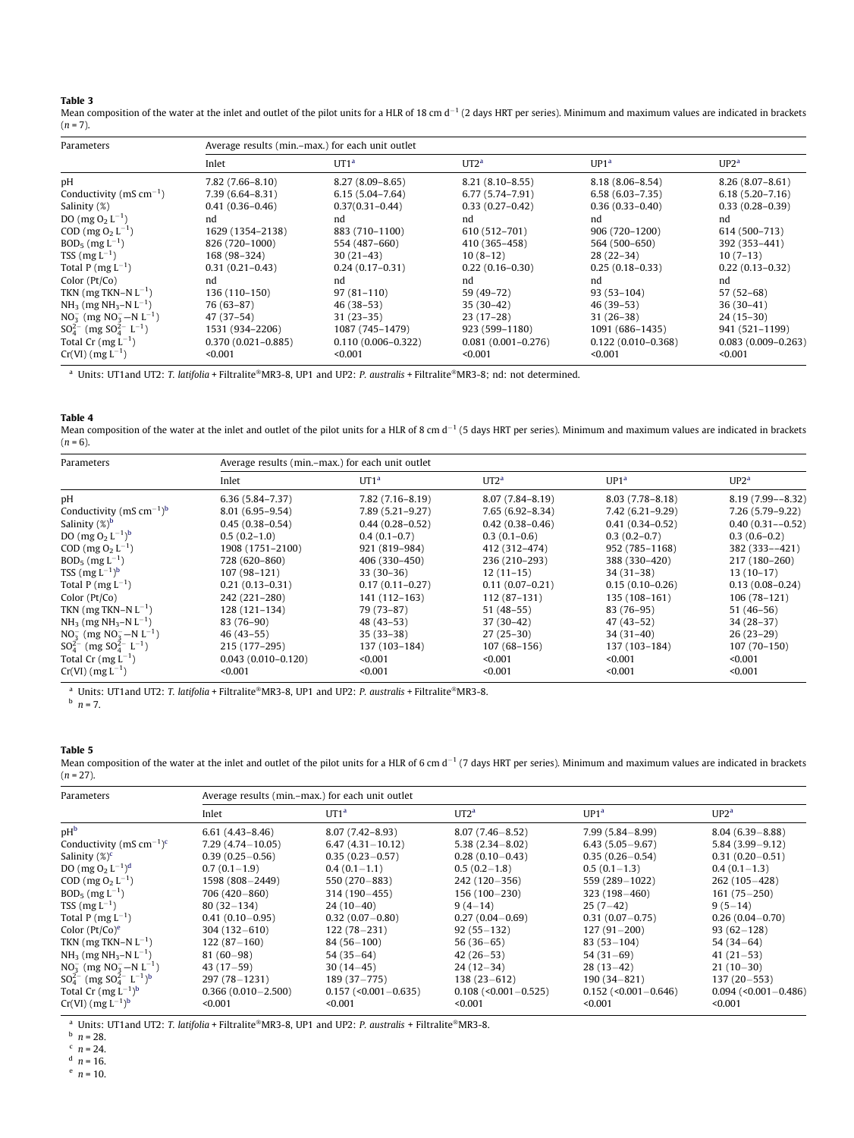<span id="page-4-0"></span>

|--|--|

**Table 3**<br>Mean composition of the water at the inlet and outlet of the pilot units for a HLR of 18 cm d<sup>–1</sup> (2 days HRT per series). Minimum and maximum values are indicated in brackets  $(n = 7)$ .

| Parameters                                      | Average results (min.-max.) for each unit outlet |                        |                        |                        |                        |  |  |  |
|-------------------------------------------------|--------------------------------------------------|------------------------|------------------------|------------------------|------------------------|--|--|--|
|                                                 | Inlet                                            | UT1 <sup>a</sup>       | UT2 <sup>a</sup>       | UP1 <sup>a</sup>       | UP2 <sup>a</sup>       |  |  |  |
| рH                                              | $7.82(7.66 - 8.10)$                              | $8.27(8.09 - 8.65)$    | $8.21(8.10-8.55)$      | $8.18(8.06 - 8.54)$    | $8.26(8.07 - 8.61)$    |  |  |  |
| Conductivity ( $mS \, cm^{-1}$ )                | $7.39(6.64 - 8.31)$                              | $6.15(5.04 - 7.64)$    | $6.77(5.74 - 7.91)$    | $6.58(6.03 - 7.35)$    | $6.18(5.20 - 7.16)$    |  |  |  |
| Salinity (%)                                    | $0.41(0.36 - 0.46)$                              | $0.37(0.31 - 0.44)$    | $0.33(0.27-0.42)$      | $0.36(0.33 - 0.40)$    | $0.33(0.28 - 0.39)$    |  |  |  |
| DO (mg $O_2 L^{-1}$ )                           | nd                                               | nd                     | nd                     | nd                     | nd                     |  |  |  |
| COD (mg $O_2 L^{-1}$ )                          | 1629 (1354-2138)                                 | 883 (710-1100)         | 610 (512-701)          | 906 (720-1200)         | 614 (500-713)          |  |  |  |
| $BOD_5$ (mg $L^{-1}$ )                          | 826 (720-1000)                                   | 554 (487–660)          | 410 (365–458)          | 564 (500-650)          | 392 (353-441)          |  |  |  |
| TSS $(mg L^{-1})$                               | 168 (98-324)                                     | $30(21-43)$            | $10(8-12)$             | $28(22-34)$            | $10(7-13)$             |  |  |  |
| Total P $(mg L^{-1})$                           | $0.31(0.21 - 0.43)$                              | $0.24(0.17-0.31)$      | $0.22(0.16-0.30)$      | $0.25(0.18-0.33)$      | $0.22(0.13-0.32)$      |  |  |  |
| Color $(Pt/Co)$                                 | nd                                               | nd                     | nd                     | nd                     | nd                     |  |  |  |
| TKN (mg TKN-N $L^{-1}$ )                        | 136 (110-150)                                    | $97(81-110)$           | 59 (49-72)             | $93(53-104)$           | $57(52-68)$            |  |  |  |
| $NH_3$ (mg NH <sub>3</sub> –N L <sup>-1</sup> ) | $76(63-87)$                                      | $46(38-53)$            | $35(30-42)$            | $46(39-53)$            | $36(30-41)$            |  |  |  |
| $NO_3^-$ (mg $NO_3^- - N L^{-1}$ )              | $47(37-54)$                                      | $31(23-35)$            | $23(17-28)$            | $31(26-38)$            | $24(15-30)$            |  |  |  |
| $SO_4^{2-}$ (mg $SO_4^{2-}$ L <sup>-1</sup> )   | 1531 (934-2206)                                  | 1087 (745-1479)        | 923 (599-1180)         | 1091 (686-1435)        | 941 (521-1199)         |  |  |  |
| Total Cr $(mg L^{-1})$                          | $0.370(0.021 - 0.885)$                           | $0.110(0.006 - 0.322)$ | $0.081(0.001 - 0.276)$ | $0.122(0.010 - 0.368)$ | $0.083(0.009 - 0.263)$ |  |  |  |
| $Cr(VI)$ (mg $L^{-1}$ )                         | < 0.001                                          | < 0.001                | < 0.001                | < 0.001                | < 0.001                |  |  |  |

<sup>a</sup> Units: UT1and UT2: T. latifolia + Filtralite®MR3-8, UP1 and UP2: P. australis + Filtralite®MR3-8; nd: not determined.

Table 4

Mean composition of the water at the inlet and outlet of the pilot units for a HLR of 8 cm d<sup>-1</sup> (5 days HRT per series). Minimum and maximum values are indicated in brackets  $(n = 6)$ .

| Parameters                                       | Average results (min,–max,) for each unit outlet |                     |                     |                     |                      |  |  |  |
|--------------------------------------------------|--------------------------------------------------|---------------------|---------------------|---------------------|----------------------|--|--|--|
|                                                  | Inlet                                            | UT1 <sup>a</sup>    | UT2 <sup>a</sup>    | UP1 <sup>a</sup>    | $UP2^a$              |  |  |  |
| pH                                               | $6.36(5.84 - 7.37)$                              | $7.82(7.16 - 8.19)$ | $8.07(7.84 - 8.19)$ | $8.03(7.78 - 8.18)$ | $8.19(7.99 - -8.32)$ |  |  |  |
| Conductivity (mS cm <sup>-1</sup> ) <sup>b</sup> | $8.01(6.95 - 9.54)$                              | $7.89(5.21 - 9.27)$ | $7.65(6.92 - 8.34)$ | $7.42(6.21 - 9.29)$ | 7.26 (5.79-9.22)     |  |  |  |
| Salinity $(\%)^b$                                | $0.45(0.38 - 0.54)$                              | $0.44(0.28 - 0.52)$ | $0.42(0.38 - 0.46)$ | $0.41(0.34 - 0.52)$ | $0.40(0.31 - -0.52)$ |  |  |  |
| DO $(mg O2 L-1)b$                                | $0.5(0.2-1.0)$                                   | $0.4(0.1-0.7)$      | $0.3(0.1-0.6)$      | $0.3(0.2-0.7)$      | $0.3(0.6-0.2)$       |  |  |  |
| COD (mg $O_2 L^{-1}$ )                           | 1908 (1751-2100)                                 | 921 (819-984)       | 412 (312-474)       | 952 (785-1168)      | 382 (333 - - 421)    |  |  |  |
| $BOD_5$ (mg $L^{-1}$ )                           | 728 (620-860)                                    | 406 (330-450)       | 236 (210-293)       | 388 (330-420)       | 217 (180-260)        |  |  |  |
| TSS $(mg L^{-1})^b$                              | 107 (98-121)                                     | $33(30-36)$         | $12(11-15)$         | $34(31-38)$         | $13(10-17)$          |  |  |  |
| Total P $(mg L^{-1})$                            | $0.21(0.13 - 0.31)$                              | $0.17(0.11 - 0.27)$ | $0.11(0.07-0.21)$   | $0.15(0.10 - 0.26)$ | $0.13(0.08 - 0.24)$  |  |  |  |
| Color $(Pt/Co)$                                  | 242 (221-280)                                    | 141 (112-163)       | $112(87-131)$       | 135 (108-161)       | $106(78-121)$        |  |  |  |
| TKN (mg TKN–N $L^{-1}$ )                         | 128 (121-134)                                    | 79 (73-87)          | $51(48-55)$         | 83 (76-95)          | $51(46-56)$          |  |  |  |
| $NH_3$ (mg NH <sub>3</sub> –N L <sup>-1</sup> )  | 83 (76-90)                                       | $48(43-53)$         | $37(30-42)$         | $47(43-52)$         | $34(28-37)$          |  |  |  |
| $NO_3^-$ (mg $NO_3^- - N L^{-1}$ )               | $46(43-55)$                                      | $35(33-38)$         | $27(25-30)$         | $34(31-40)$         | $26(23-29)$          |  |  |  |
| $SO_4^{2-}$ (mg $SO_4^{2-}$ L <sup>-1</sup> )    | 215 (177-295)                                    | 137 (103-184)       | $107(68 - 156)$     | 137 (103-184)       | $107(70-150)$        |  |  |  |
| Total Cr $(mg L^{-1})$                           | $0.043(0.010 - 0.120)$                           | < 0.001             | < 0.001             | < 0.001             | < 0.001              |  |  |  |
| $Cr(VI)$ (mg $L^{-1}$ )                          | < 0.001                                          | < 0.001             | < 0.001             | < 0.001             | < 0.001              |  |  |  |

<sup>a</sup> Units: UT1and UT2: T. latifolia + Filtralite®MR3-8, UP1 and UP2: P. australis + Filtralite®MR3-8.

 $^{\rm b}$   $\bar{n}$  = 7.

### Table 5

Mean composition of the water at the inlet and outlet of the pilot units for a HLR of 6 cm d<sup>-1</sup> (7 days HRT per series). Minimum and maximum values are indicated in brackets  $\left(n=27\right)$ 

| Parameters                                                 | Average results (min,-max,) for each unit outlet |                        |                          |                        |                        |  |  |  |
|------------------------------------------------------------|--------------------------------------------------|------------------------|--------------------------|------------------------|------------------------|--|--|--|
|                                                            | Inlet                                            | UT1 <sup>a</sup>       | UT2 <sup>a</sup>         | UP1 <sup>a</sup>       | $UP2^a$                |  |  |  |
| pH <sup>b</sup>                                            | $6.61(4.43 - 8.46)$                              | $8.07(7.42 - 8.93)$    | $8.07(7.46 - 8.52)$      | $7.99(5.84 - 8.99)$    | $8.04(6.39 - 8.88)$    |  |  |  |
| Conductivity (mS cm <sup>-1</sup> ) <sup>c</sup>           | $7.29(4.74 - 10.05)$                             | $6.47(4.31 - 10.12)$   | $5.38(2.34 - 8.02)$      | $6.43(5.05-9.67)$      | $5.84(3.99 - 9.12)$    |  |  |  |
| Salinity $(\%)^c$                                          | $0.39(0.25 - 0.56)$                              | $0.35(0.23 - 0.57)$    | $0.28(0.10-0.43)$        | $0.35(0.26 - 0.54)$    | $0.31(0.20 - 0.51)$    |  |  |  |
| DO $(mg O_2 L^{-1})^d$                                     | $0.7(0.1-1.9)$                                   | $0.4(0.1-1.1)$         | $0.5(0.2-1.8)$           | $0.5(0.1-1.3)$         | $0.4(0.1-1.3)$         |  |  |  |
| $COD$ (mg $O_2 L^{-1}$ )                                   | 1598 (808-2449)                                  | 550 (270-883)          | 242 (120 - 356)          | 559 (289-1022)         | $262(105-428)$         |  |  |  |
| $BOD_5$ (mg $L^{-1}$ )                                     | 706 (420-860)                                    | 314 (190 - 455)        | $156(100-230)$           | $323(198 - 460)$       | $161(75 - 250)$        |  |  |  |
| TSS $(mg L^{-1})$                                          | $80(32-134)$                                     | $24(10-40)$            | $9(4-14)$                | $25(7-42)$             | $9(5-14)$              |  |  |  |
| Total P ( $mg L^{-1}$ )                                    | $0.41(0.10-0.95)$                                | $0.32(0.07 - 0.80)$    | $0.27(0.04 - 0.69)$      | $0.31(0.07 - 0.75)$    | $0.26(0.04 - 0.70)$    |  |  |  |
| Color $(Pt/Co)^e$                                          | $304(132 - 610)$                                 | $122(78-231)$          | $92(55 - 132)$           | $127(91-200)$          | $93(62 - 128)$         |  |  |  |
| TKN (mg TKN-N $L^{-1}$ )                                   | $122(87-160)$                                    | $84(56-100)$           | $56(36-65)$              | $83(53 - 104)$         | $54(34-64)$            |  |  |  |
| $NH_3$ (mg NH <sub>3</sub> –N L <sup>-1</sup> )            | $81(60-98)$                                      | $54(35-64)$            | $42(26-53)$              | $54(31-69)$            | $41(21-53)$            |  |  |  |
| $NO_3^-$ (mg $NO_3^- - N L^{-1}$ )                         | $43(17-59)$                                      | $30(14-45)$            | $24(12-34)$              | $28(13-42)$            | $21(10-30)$            |  |  |  |
| $SO_4^{2-}$ (mg $SO_4^{2-}$ L <sup>-1</sup> ) <sup>b</sup> | $297(78 - 1231)$                                 | $189(37 - 775)$        | $138(23-612)$            | $190(34 - 821)$        | $137(20-553)$          |  |  |  |
| Total Cr $(mg L^{-1})^b$                                   | $0.366(0.010 - 2.500)$                           | $0.157$ (<0.001-0.635) | $0.108$ (<0.001 - 0.525) | $0.152$ (<0.001-0.646) | $0.094$ (<0.001-0.486) |  |  |  |
| $Cr(VI)$ (mg $L^{-1}$ ) <sup>b</sup>                       | < 0.001                                          | < 0.001                | < 0.001                  | < 0.001                | < 0.001                |  |  |  |

<sup>a</sup> Units: UT1 and UT2: T. latifolia + Filtralite®MR3-8, UP1 and UP2: P. australis + Filtralite®MR3-8.

 $n = 28$ .

 $n = 24$ .

 $n = 16$ .

 $n = 10$ .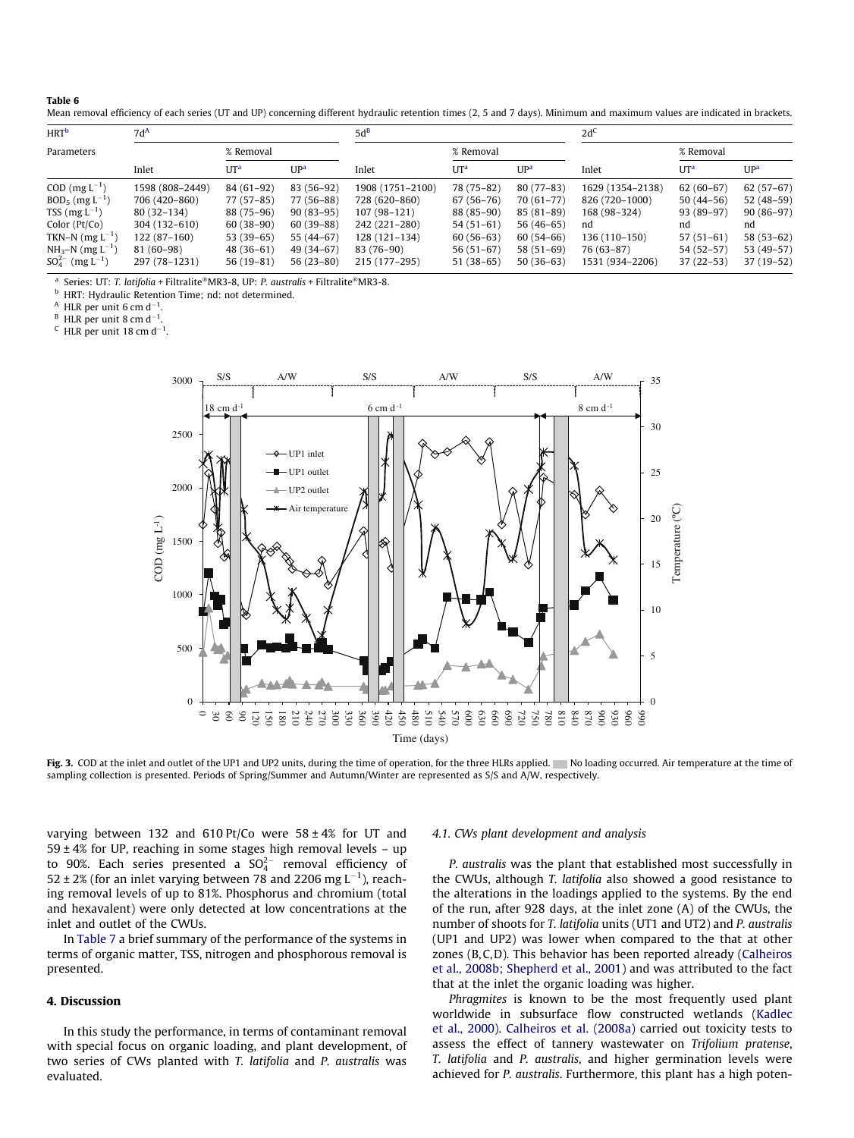#### <span id="page-5-0"></span>Table 6

Mean removal efficiency of each series (UT and UP) concerning different hydraulic retention times (2, 5 and 7 days). Minimum and maximum values are indicated in brackets.

| <b>HRT</b> <sup>b</sup><br>$7d^A$ |                 | $5d^B$      |                 |                  | 2d <sup>C</sup> |                 |                  |               |                 |
|-----------------------------------|-----------------|-------------|-----------------|------------------|-----------------|-----------------|------------------|---------------|-----------------|
| Parameters                        |                 | % Removal   |                 |                  | % Removal       |                 |                  | % Removal     |                 |
|                                   | Inlet           | $UT^a$      | UP <sup>a</sup> | Inlet            | $UT^a$          | UP <sup>a</sup> | Inlet            | $UT^a$        | UP <sup>a</sup> |
| $COD$ (mg $L^{-1}$ )              | 1598 (808-2449) | 84 (61-92)  | 83 (56-92)      | 1908 (1751-2100) | 78 (75-82)      | $80(77-83)$     | 1629 (1354-2138) | $62(60-67)$   | $62(57-67)$     |
| $BOD_5$ (mg $L^{-1}$ )            | 706 (420-860)   | 77 (57-85)  | 77 (56-88)      | 728 (620-860)    | $67(56-76)$     | $70(61-77)$     | 826 (720-1000)   | $50(44-56)$   | 52 (48-59)      |
| TSS $(mg L^{-1})$                 | $80(32-134)$    | 88 (75-96)  | $90(83-95)$     | $107(98-121)$    | 88 (85-90)      | $85(81-89)$     | 168 (98–324)     | $93(89-97)$   | $90(86-97)$     |
| Color (Pt/Co)                     | 304 (132-610)   | $60(38-90)$ | $60(39-88)$     | 242 (221-280)    | $54(51-61)$     | $56(46-65)$     | nd               | nd            | nd              |
| TKN-N $(mg L^{-1})$               | $122(87-160)$   | $53(39-65)$ | 55 (44-67)      | 128 (121-134)    | $60(56-63)$     | $60(54-66)$     | 136 (110-150)    | $57(51-61)$   | $58(53-62)$     |
| $NH_3-N$ (mg $L^{-1}$ )           | 81 (60-98)      | $48(36-61)$ | 49 (34-67)      | 83 (76-90)       | $56(51-67)$     | $58(51-69)$     | 76 (63-87)       | 54 (52-57)    | 53 (49-57)      |
| $SO_4^{2-}$ (mg L <sup>-1</sup> ) | 297 (78-1231)   | $56(19-81)$ | $56(23-80)$     | 215 (177-295)    | $51(38-65)$     | $50(36-63)$     | 1531 (934–2206)  | $37(22 - 53)$ | $37(19-52)$     |

Series: UT: T. latifolia + Filtralite®MR3-8, UP: P. australis + Filtralite®MR3-8.

HRT: Hydraulic Retention Time; nd: not determined.

 $^{\mathsf{A}}$  HLR per unit 6 cm d<sup>-1</sup>.

 $^{\rm B}$  HLR per unit 8 cm d<sup>-1</sup>.

<sup>C</sup> HLR per unit 18 cm d<sup>-1</sup>.



Fig. 3. COD at the inlet and outlet of the UP1 and UP2 units, during the time of operation, for the three HLRs applied. No loading occurred. Air temperature at the time of sampling collection is presented. Periods of Spring/Summer and Autumn/Winter are represented as S/S and A/W, respectively.

varying between 132 and 610 Pt/Co were  $58 \pm 4\%$  for UT and  $59 \pm 4\%$  for UP, reaching in some stages high removal levels - up to 90%. Each series presented a  $SO_4^{2-}$  removal efficiency of 52  $\pm$  2% (for an inlet varying between 78 and 2206 mg L<sup>-1</sup>), reaching removal levels of up to 81%. Phosphorus and chromium (total and hexavalent) were only detected at low concentrations at the inlet and outlet of the CWUs.

In [Table 7](#page-6-0) a brief summary of the performance of the systems in terms of organic matter, TSS, nitrogen and phosphorous removal is presented.

# 4. Discussion

In this study the performance, in terms of contaminant removal with special focus on organic loading, and plant development, of two series of CWs planted with T. latifolia and P. australis was evaluated.

#### 4.1. CWs plant development and analysis

P. australis was the plant that established most successfully in the CWUs, although T. latifolia also showed a good resistance to the alterations in the loadings applied to the systems. By the end of the run, after 928 days, at the inlet zone (A) of the CWUs, the number of shoots for T. latifolia units (UT1 and UT2) and P. australis (UP1 and UP2) was lower when compared to the that at other zones (B,C,D). This behavior has been reported already ([Calheiros](#page-8-0) [et al., 2008b; Shepherd et al., 2001\)](#page-8-0) and was attributed to the fact that at the inlet the organic loading was higher.

Phragmites is known to be the most frequently used plant worldwide in subsurface flow constructed wetlands ([Kadlec](#page-8-0) [et al., 2000\)](#page-8-0). [Calheiros et al. \(2008a\)](#page-8-0) carried out toxicity tests to assess the effect of tannery wastewater on Trifolium pratense, T. latifolia and P. australis, and higher germination levels were achieved for P. australis. Furthermore, this plant has a high poten-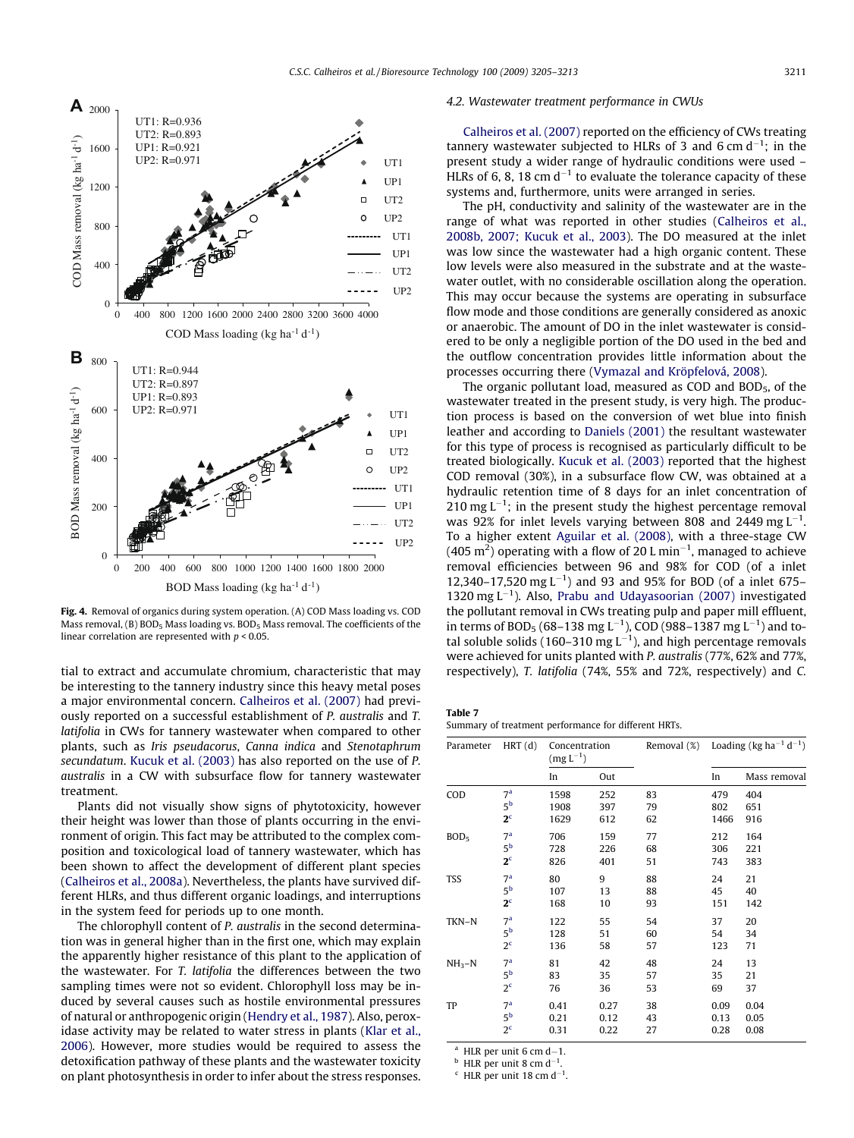<span id="page-6-0"></span>

Fig. 4. Removal of organics during system operation. (A) COD Mass loading vs. COD Mass removal, (B)  $BOD<sub>5</sub>$  Mass loading vs.  $BOD<sub>5</sub>$  Mass removal. The coefficients of the linear correlation are represented with  $p < 0.05$ .

tial to extract and accumulate chromium, characteristic that may be interesting to the tannery industry since this heavy metal poses a major environmental concern. [Calheiros et al. \(2007\)](#page-8-0) had previously reported on a successful establishment of P. australis and T. latifolia in CWs for tannery wastewater when compared to other plants, such as Iris pseudacorus, Canna indica and Stenotaphrum secundatum. [Kucuk et al. \(2003\)](#page-8-0) has also reported on the use of P. australis in a CW with subsurface flow for tannery wastewater treatment.

Plants did not visually show signs of phytotoxicity, however their height was lower than those of plants occurring in the environment of origin. This fact may be attributed to the complex composition and toxicological load of tannery wastewater, which has been shown to affect the development of different plant species ([Calheiros et al., 2008a](#page-8-0)). Nevertheless, the plants have survived different HLRs, and thus different organic loadings, and interruptions in the system feed for periods up to one month.

The chlorophyll content of P. australis in the second determination was in general higher than in the first one, which may explain the apparently higher resistance of this plant to the application of the wastewater. For T. latifolia the differences between the two sampling times were not so evident. Chlorophyll loss may be induced by several causes such as hostile environmental pressures of natural or anthropogenic origin ([Hendry et al., 1987\)](#page-8-0). Also, peroxidase activity may be related to water stress in plants ([Klar et al.,](#page-8-0) [2006](#page-8-0)). However, more studies would be required to assess the detoxification pathway of these plants and the wastewater toxicity on plant photosynthesis in order to infer about the stress responses.

# 4.2. Wastewater treatment performance in CWUs

[Calheiros et al. \(2007\)](#page-8-0) reported on the efficiency of CWs treating tannery wastewater subjected to HLRs of 3 and 6 cm  $d^{-1}$ ; in the present study a wider range of hydraulic conditions were used – HLRs of 6, 8, 18 cm  $d^{-1}$  to evaluate the tolerance capacity of these systems and, furthermore, units were arranged in series.

The pH, conductivity and salinity of the wastewater are in the range of what was reported in other studies ([Calheiros et al.,](#page-8-0) [2008b, 2007; Kucuk et al., 2003\)](#page-8-0). The DO measured at the inlet was low since the wastewater had a high organic content. These low levels were also measured in the substrate and at the wastewater outlet, with no considerable oscillation along the operation. This may occur because the systems are operating in subsurface flow mode and those conditions are generally considered as anoxic or anaerobic. The amount of DO in the inlet wastewater is considered to be only a negligible portion of the DO used in the bed and the outflow concentration provides little information about the processes occurring there [\(Vymazal and Kröpfelová, 2008](#page-8-0)).

The organic pollutant load, measured as COD and  $BOD<sub>5</sub>$ , of the wastewater treated in the present study, is very high. The production process is based on the conversion of wet blue into finish leather and according to [Daniels \(2001\)](#page-8-0) the resultant wastewater for this type of process is recognised as particularly difficult to be treated biologically. [Kucuk et al. \(2003\)](#page-8-0) reported that the highest COD removal (30%), in a subsurface flow CW, was obtained at a hydraulic retention time of 8 days for an inlet concentration of  $210$  mg  $L^{-1}$ ; in the present study the highest percentage removal was 92% for inlet levels varying between 808 and 2449 mg  $L^{-1}$ . To a higher extent [Aguilar et al. \(2008\),](#page-7-0) with a three-stage CW (405 m<sup>2</sup>) operating with a flow of 20 L min<sup>-1</sup>, managed to achieve removal efficiencies between 96 and 98% for COD (of a inlet 12,340–17,520 mg  $L^{-1}$ ) and 93 and 95% for BOD (of a inlet 675– 1320 mg  $L^{-1}$ ). Also, [Prabu and Udayasoorian \(2007\)](#page-8-0) investigated the pollutant removal in CWs treating pulp and paper mill effluent, in terms of BOD<sub>5</sub> (68–138 mg L<sup>-1</sup>), COD (988–1387 mg L<sup>-1</sup>) and total soluble solids (160–310 mg  $L^{-1}$ ), and high percentage removals were achieved for units planted with P. australis (77%, 62% and 77%, respectively), T. latifolia (74%, 55% and 72%, respectively) and C.

| Table 7                                              |  |  |
|------------------------------------------------------|--|--|
| Summary of treatment performance for different HRTs. |  |  |

| Parameter        | HRT(d)           | Concentration<br>$(mg L^{-1})$ |      | Removal (%) | Loading (kg ha <sup>-1</sup> d <sup>-1</sup> ) |              |  |
|------------------|------------------|--------------------------------|------|-------------|------------------------------------------------|--------------|--|
|                  |                  | In                             | Out  |             | In                                             | Mass removal |  |
| COD              | 7 <sup>a</sup>   | 1598                           | 252  | 83          | 479                                            | 404          |  |
|                  | $5^{\rm b}$      | 1908                           | 397  | 79          | 802                                            | 651          |  |
|                  | 2 <sup>c</sup>   | 1629                           | 612  | 62          | 1466                                           | 916          |  |
| BOD <sub>5</sub> | 7 <sup>a</sup>   | 706                            | 159  | 77          | 212                                            | 164          |  |
|                  | 5 <sup>b</sup>   | 728                            | 226  | 68          | 306                                            | 221          |  |
|                  | 2 <sup>c</sup>   | 826                            | 401  | 51          | 743                                            | 383          |  |
| <b>TSS</b>       | 7 <sup>a</sup>   | 80                             | 9    | 88          | 24                                             | 21           |  |
|                  | 5 <sup>b</sup>   | 107                            | 13   | 88          | 45                                             | 40           |  |
|                  | 2 <sup>c</sup>   | 168                            | 10   | 93          | 151                                            | 142          |  |
| TKN-N            | 7 <sup>a</sup>   | 122                            | 55   | 54          | 37                                             | 20           |  |
|                  | 5 <sup>b</sup>   | 128                            | 51   | 60          | 54                                             | 34           |  |
|                  | 2 <sup>c</sup>   | 136                            | 58   | 57          | 123                                            | 71           |  |
| $NH3-N$          | 7 <sup>a</sup>   | 81                             | 42   | 48          | 24                                             | 13           |  |
|                  | 5 <sup>b</sup>   | 83                             | 35   | 57          | 35                                             | 21           |  |
|                  | $2^{\mathsf{c}}$ | 76                             | 36   | 53          | 69                                             | 37           |  |
| TP               | 7 <sup>a</sup>   | 0.41                           | 0.27 | 38          | 0.09                                           | 0.04         |  |
|                  | 5 <sup>b</sup>   | 0.21                           | 0.12 | 43          | 0.13                                           | 0.05         |  |
|                  | 2 <sup>c</sup>   | 0.31                           | 0.22 | 27          | 0.28                                           | 0.08         |  |

 $^a$  HLR per unit 6 cm d-1.

 $^{\rm b}$  HLR per unit 8 cm d<sup>-1</sup> .  $\rm ^c$  HLR per unit 18 cm d<sup>-1</sup>.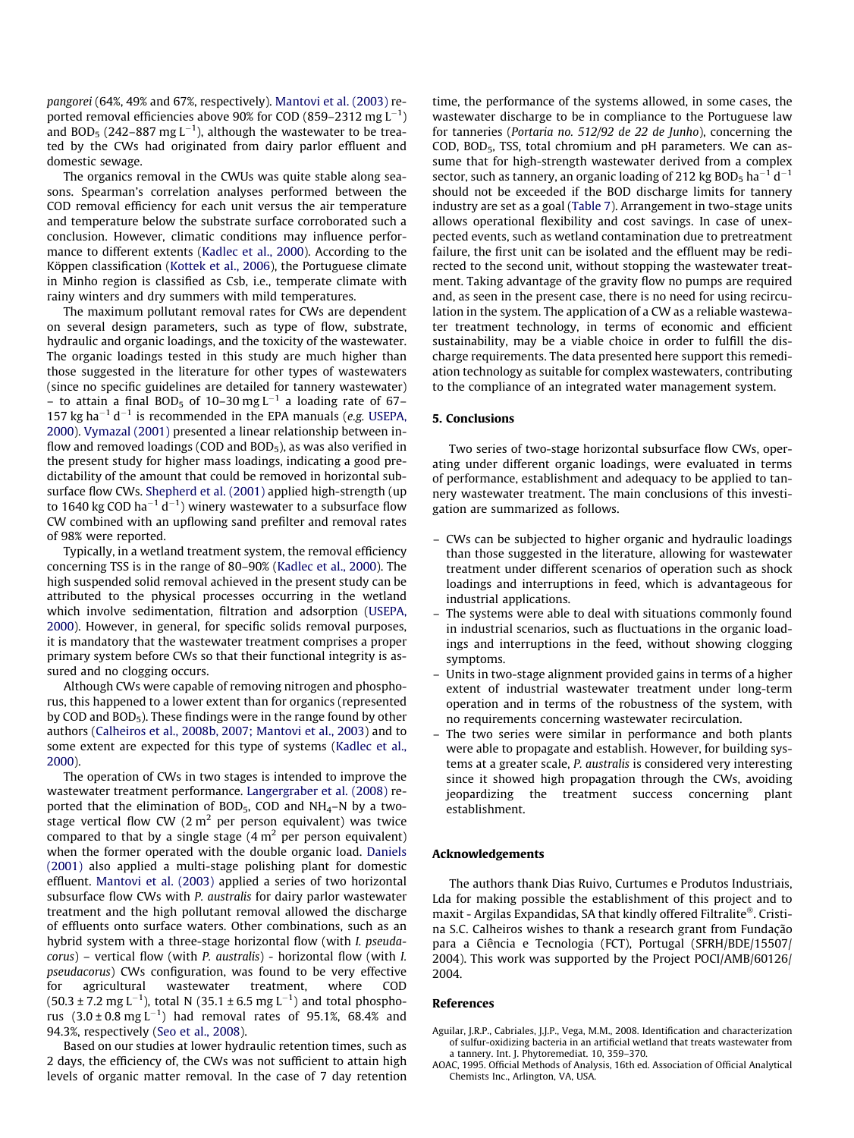<span id="page-7-0"></span>pangorei (64%, 49% and 67%, respectively). [Mantovi et al. \(2003\)](#page-8-0) reported removal efficiencies above 90% for COD (859–2312  ${\rm mg}\, {\rm L}^{-1})$ and BOD<sub>5</sub> (242–887 mg L $^{-1}$ ), although the wastewater to be treated by the CWs had originated from dairy parlor effluent and domestic sewage.

The organics removal in the CWUs was quite stable along seasons. Spearman's correlation analyses performed between the COD removal efficiency for each unit versus the air temperature and temperature below the substrate surface corroborated such a conclusion. However, climatic conditions may influence performance to different extents ([Kadlec et al., 2000\)](#page-8-0). According to the Köppen classification ([Kottek et al., 2006](#page-8-0)), the Portuguese climate in Minho region is classified as Csb, i.e., temperate climate with rainy winters and dry summers with mild temperatures.

The maximum pollutant removal rates for CWs are dependent on several design parameters, such as type of flow, substrate, hydraulic and organic loadings, and the toxicity of the wastewater. The organic loadings tested in this study are much higher than those suggested in the literature for other types of wastewaters (since no specific guidelines are detailed for tannery wastewater) – to attain a final BOD<sub>5</sub> of 10–30 mg L<sup>-1</sup> a loading rate of 67– 157 kg ha<sup>-1</sup> d<sup>-1</sup> is recommended in the EPA manuals (e.g. [USEPA,](#page-8-0) [2000\)](#page-8-0). [Vymazal \(2001\)](#page-8-0) presented a linear relationship between inflow and removed loadings (COD and  $BOD<sub>5</sub>$ ), as was also verified in the present study for higher mass loadings, indicating a good predictability of the amount that could be removed in horizontal subsurface flow CWs. [Shepherd et al. \(2001\)](#page-8-0) applied high-strength (up to 1640 kg COD ha $^{-1}$  d $^{-1}$ ) winery wastewater to a subsurface flow CW combined with an upflowing sand prefilter and removal rates of 98% were reported.

Typically, in a wetland treatment system, the removal efficiency concerning TSS is in the range of 80–90% [\(Kadlec et al., 2000\)](#page-8-0). The high suspended solid removal achieved in the present study can be attributed to the physical processes occurring in the wetland which involve sedimentation, filtration and adsorption [\(USEPA,](#page-8-0) [2000\)](#page-8-0). However, in general, for specific solids removal purposes, it is mandatory that the wastewater treatment comprises a proper primary system before CWs so that their functional integrity is assured and no clogging occurs.

Although CWs were capable of removing nitrogen and phosphorus, this happened to a lower extent than for organics (represented by COD and BOD<sub>5</sub>). These findings were in the range found by other authors ([Calheiros et al., 2008b, 2007; Mantovi et al., 2003](#page-8-0)) and to some extent are expected for this type of systems [\(Kadlec et al.,](#page-8-0) [2000\)](#page-8-0).

The operation of CWs in two stages is intended to improve the wastewater treatment performance. [Langergraber et al. \(2008\)](#page-8-0) reported that the elimination of BOD<sub>5</sub>, COD and  $NH_4-N$  by a twostage vertical flow CW  $(2 \text{ m}^2 \text{ per person equivalent})$  was twice compared to that by a single stage  $(4 \text{ m}^2 \text{ per person equivalent})$ when the former operated with the double organic load. [Daniels](#page-8-0) [\(2001\)](#page-8-0) also applied a multi-stage polishing plant for domestic effluent. [Mantovi et al. \(2003\)](#page-8-0) applied a series of two horizontal subsurface flow CWs with P. australis for dairy parlor wastewater treatment and the high pollutant removal allowed the discharge of effluents onto surface waters. Other combinations, such as an hybrid system with a three-stage horizontal flow (with I. pseudacorus) – vertical flow (with P. australis) - horizontal flow (with I. pseudacorus) CWs configuration, was found to be very effective for agricultural wastewater treatment, where COD  $(50.3 \pm 7.2 \text{ mg L}^{-1})$ , total N  $(35.1 \pm 6.5 \text{ mg L}^{-1})$  and total phosphorus  $(3.0 \pm 0.8 \text{ mg L}^{-1})$  had removal rates of 95.1%, 68.4% and 94.3%, respectively ([Seo et al., 2008\)](#page-8-0).

Based on our studies at lower hydraulic retention times, such as 2 days, the efficiency of, the CWs was not sufficient to attain high levels of organic matter removal. In the case of 7 day retention time, the performance of the systems allowed, in some cases, the wastewater discharge to be in compliance to the Portuguese law for tanneries (Portaria no. 512/92 de 22 de Junho), concerning the COD, BOD5, TSS, total chromium and pH parameters. We can assume that for high-strength wastewater derived from a complex sector, such as tannery, an organic loading of 212 kg BOD<sub>5</sub> ha<sup>-1</sup> d<sup>-1</sup> should not be exceeded if the BOD discharge limits for tannery industry are set as a goal [\(Table 7](#page-6-0)). Arrangement in two-stage units allows operational flexibility and cost savings. In case of unexpected events, such as wetland contamination due to pretreatment failure, the first unit can be isolated and the effluent may be redirected to the second unit, without stopping the wastewater treatment. Taking advantage of the gravity flow no pumps are required and, as seen in the present case, there is no need for using recirculation in the system. The application of a CW as a reliable wastewater treatment technology, in terms of economic and efficient sustainability, may be a viable choice in order to fulfill the discharge requirements. The data presented here support this remediation technology as suitable for complex wastewaters, contributing to the compliance of an integrated water management system.

### 5. Conclusions

Two series of two-stage horizontal subsurface flow CWs, operating under different organic loadings, were evaluated in terms of performance, establishment and adequacy to be applied to tannery wastewater treatment. The main conclusions of this investigation are summarized as follows.

- CWs can be subjected to higher organic and hydraulic loadings than those suggested in the literature, allowing for wastewater treatment under different scenarios of operation such as shock loadings and interruptions in feed, which is advantageous for industrial applications.
- The systems were able to deal with situations commonly found in industrial scenarios, such as fluctuations in the organic loadings and interruptions in the feed, without showing clogging symptoms.
- Units in two-stage alignment provided gains in terms of a higher extent of industrial wastewater treatment under long-term operation and in terms of the robustness of the system, with no requirements concerning wastewater recirculation.
- The two series were similar in performance and both plants were able to propagate and establish. However, for building systems at a greater scale, P. australis is considered very interesting since it showed high propagation through the CWs, avoiding jeopardizing the treatment success concerning plant establishment.

# Acknowledgements

The authors thank Dias Ruivo, Curtumes e Produtos Industriais, Lda for making possible the establishment of this project and to maxit - Argilas Expandidas, SA that kindly offered Filtralite®. Cristina S.C. Calheiros wishes to thank a research grant from Fundação para a Ciência e Tecnologia (FCT), Portugal (SFRH/BDE/15507/ 2004). This work was supported by the Project POCI/AMB/60126/ 2004.

#### References

- Aguilar, J.R.P., Cabriales, J.J.P., Vega, M.M., 2008. Identification and characterization of sulfur-oxidizing bacteria in an artificial wetland that treats wastewater from a tannery. Int. J. Phytoremediat. 10, 359–370.
- AOAC, 1995. Official Methods of Analysis, 16th ed. Association of Official Analytical Chemists Inc., Arlington, VA, USA.